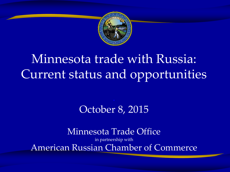

# Minnesota trade with Russia: Current status and opportunities

### October 8, 2015

#### Minnesota Trade Office

in partnership with American Russian Chamber of Commerce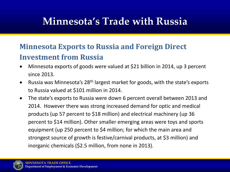## **Minnesota's Trade with Russia**

#### **Minnesota Exports to Russia and Foreign Direct Investment from Russia**

- Minnesota exports of goods were valued at \$21 billion in 2014, up 3 percent since 2013.
- Russia was Minnesota's  $28<sup>th</sup>$  largest market for goods, with the state's exports to Russia valued at \$101 million in 2014.
- The state's exports to Russia were down 6 percent overall between 2013 and 2014. However there was strong increased demand for optic and medical products (up 57 percent to \$18 million) and electrical machinery (up 36 percent to \$14 million). Other smaller emerging areas were toys and sports equipment (up 250 percent to \$4 million; for which the main area and strongest source of growth is festive/carnival products, at \$3 million) and inorganic chemicals (\$2.5 million, from none in 2013).

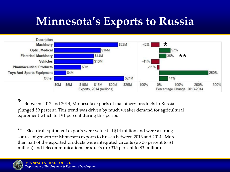## **Minnesota's Exports to Russia**



\* Between 2012 and 2014, Minnesota exports of machinery products to Russia plunged 59 percent. This trend was driven by much weaker demand for agricultural equipment which fell 91 percent during this period

\*\* Electrical equipment exports were valued at \$14 million and were a strong source of growth for Minnesota exports to Russia between 2013 and 2014. More than half of the exported products were integrated circuits (up 36 percent to \$4 million) and telecommunications products (up 315 percent to \$3 million)

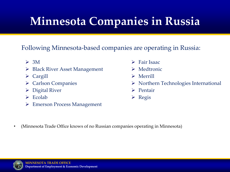# **Minnesota Companies in Russia**

Following Minnesota-based companies are operating in Russia:

- $\geq$  3M
- Black River Asset Management
- Cargill
- **► Carlson Companies**
- $\triangleright$  Digital River
- $\triangleright$  Ecolab
- Emerson Process Management
- $\triangleright$  Fair Isaac
- > Medtronic
- Merrill
- ▶ Northern Technologies International
- $\triangleright$  Pentair
- $\triangleright$  Regis

• (Minnesota Trade Office knows of no Russian companies operating in Minnesota)

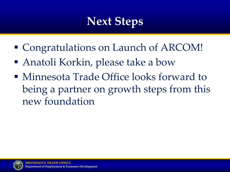## **Next Steps**

- Congratulations on Launch of ARCOM!
- Anatoli Korkin, please take a bow
- Minnesota Trade Office looks forward to being a partner on growth steps from this new foundation